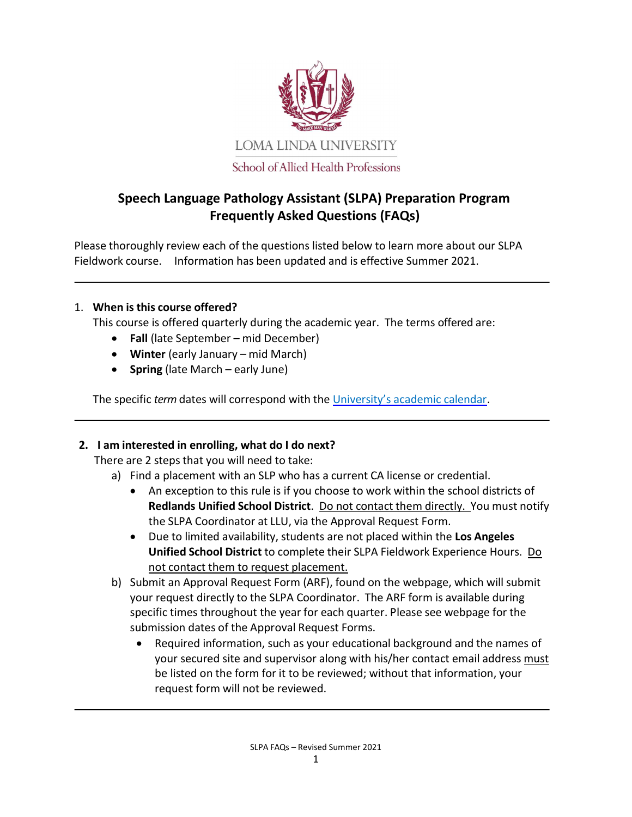

# Speech Language Pathology Assistant (SLPA) Preparation Program Frequently Asked Questions (FAQs)

Please thoroughly review each of the questions listed below to learn more about our SLPA Fieldwork course. Information has been updated and is effective Summer 2021.

## 1. When is this course offered?

This course is offered quarterly during the academic year. The terms offered are:

- Fall (late September mid December)
- Winter (early January mid March)
- Spring (late March early June)

The specific term dates will correspond with the University's academic calendar.

## 2. I am interested in enrolling, what do I do next?

There are 2 steps that you will need to take:

- a) Find a placement with an SLP who has a current CA license or credential.
	- An exception to this rule is if you choose to work within the school districts of Redlands Unified School District. Do not contact them directly. You must notify the SLPA Coordinator at LLU, via the Approval Request Form.
	- Due to limited availability, students are not placed within the Los Angeles Unified School District to complete their SLPA Fieldwork Experience Hours. Do not contact them to request placement.
- b) Submit an Approval Request Form (ARF), found on the webpage, which will submit your request directly to the SLPA Coordinator. The ARF form is available during specific times throughout the year for each quarter. Please see webpage for the submission dates of the Approval Request Forms.
	- Required information, such as your educational background and the names of your secured site and supervisor along with his/her contact email address must be listed on the form for it to be reviewed; without that information, your request form will not be reviewed.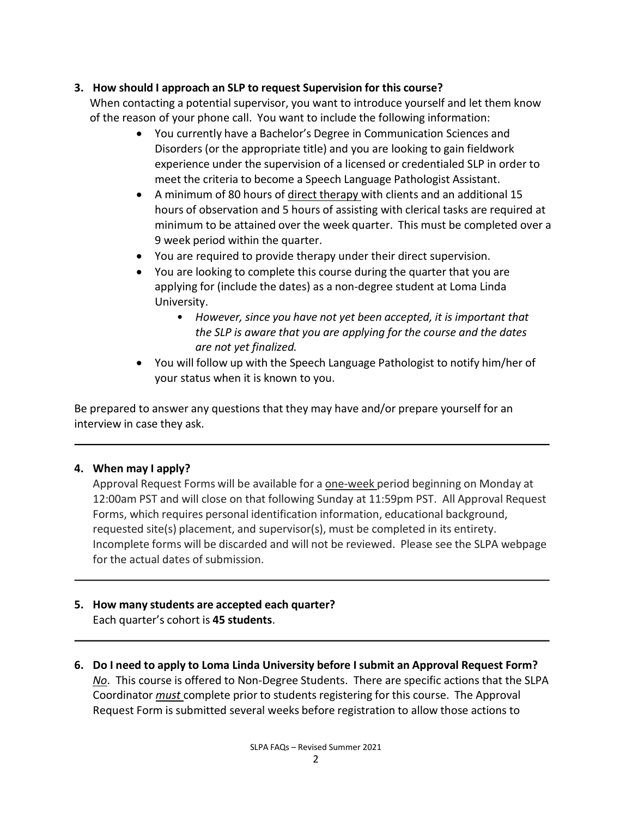## 3. How should I approach an SLP to request Supervision for this course?

When contacting a potential supervisor, you want to introduce yourself and let them know of the reason of your phone call. You want to include the following information:

- You currently have a Bachelor's Degree in Communication Sciences and Disorders (or the appropriate title) and you are looking to gain fieldwork experience under the supervision of a licensed or credentialed SLP in order to meet the criteria to become a Speech Language Pathologist Assistant.
- A minimum of 80 hours of direct therapy with clients and an additional 15 hours of observation and 5 hours of assisting with clerical tasks are required at minimum to be attained over the week quarter. This must be completed over a 9 week period within the quarter.
- You are required to provide therapy under their direct supervision.
- You are looking to complete this course during the quarter that you are applying for (include the dates) as a non-degree student at Loma Linda University.
	- However, since you have not yet been accepted, it is important that the SLP is aware that you are applying for the course and the dates are not yet finalized.
- You will follow up with the Speech Language Pathologist to notify him/her of your status when it is known to you.

Be prepared to answer any questions that they may have and/or prepare yourself for an interview in case they ask.

## 4. When may I apply?

Approval Request Forms will be available for a one-week period beginning on Monday at 12:00am PST and will close on that following Sunday at 11:59pm PST. All Approval Request Forms, which requires personal identification information, educational background, requested site(s) placement, and supervisor(s), must be completed in its entirety. Incomplete forms will be discarded and will not be reviewed. Please see the SLPA webpage for the actual dates of submission.

### 5. How many students are accepted each quarter? Each quarter's cohort is 45 students.

6. Do I need to apply to Loma Linda University before I submit an Approval Request Form? No. This course is offered to Non-Degree Students. There are specific actions that the SLPA Coordinator *must* complete prior to students registering for this course. The Approval Request Form is submitted several weeks before registration to allow those actions to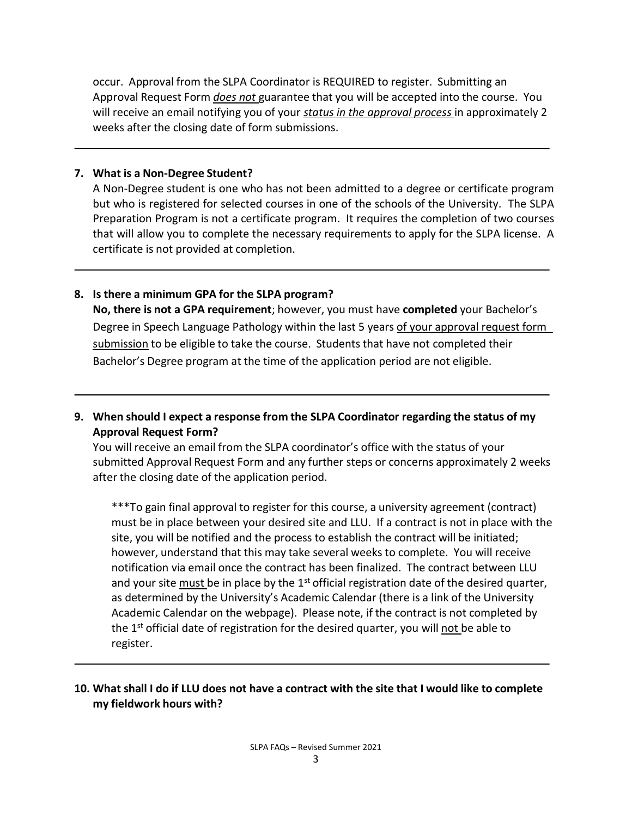occur. Approval from the SLPA Coordinator is REQUIRED to register. Submitting an Approval Request Form *does not* guarantee that you will be accepted into the course. You will receive an email notifying you of your status in the approval process in approximately 2 weeks after the closing date of form submissions.

### 7. What is a Non-Degree Student?

A Non-Degree student is one who has not been admitted to a degree or certificate program but who is registered for selected courses in one of the schools of the University. The SLPA Preparation Program is not a certificate program. It requires the completion of two courses that will allow you to complete the necessary requirements to apply for the SLPA license. A certificate is not provided at completion.

### 8. Is there a minimum GPA for the SLPA program?

No, there is not a GPA requirement; however, you must have completed your Bachelor's Degree in Speech Language Pathology within the last 5 years of your approval request form submission to be eligible to take the course. Students that have not completed their Bachelor's Degree program at the time of the application period are not eligible.

9. When should I expect a response from the SLPA Coordinator regarding the status of my Approval Request Form?

You will receive an email from the SLPA coordinator's office with the status of your submitted Approval Request Form and any further steps or concerns approximately 2 weeks after the closing date of the application period.

\*\*\*To gain final approval to register for this course, a university agreement (contract) must be in place between your desired site and LLU. If a contract is not in place with the site, you will be notified and the process to establish the contract will be initiated; however, understand that this may take several weeks to complete. You will receive notification via email once the contract has been finalized. The contract between LLU and your site must be in place by the  $1<sup>st</sup>$  official registration date of the desired quarter, as determined by the University's Academic Calendar (there is a link of the University Academic Calendar on the webpage). Please note, if the contract is not completed by the 1<sup>st</sup> official date of registration for the desired quarter, you will not be able to register.

## 10. What shall I do if LLU does not have a contract with the site that I would like to complete my fieldwork hours with?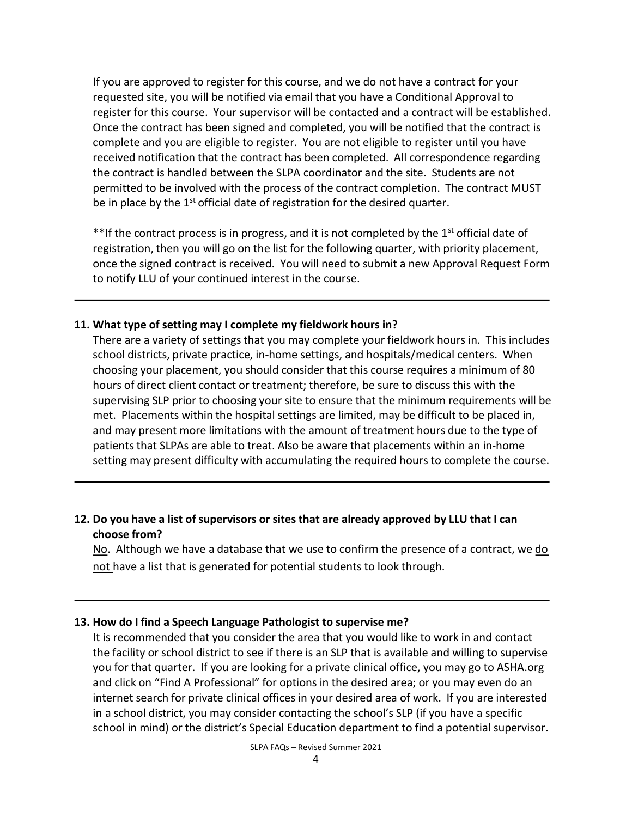If you are approved to register for this course, and we do not have a contract for your requested site, you will be notified via email that you have a Conditional Approval to register for this course. Your supervisor will be contacted and a contract will be established. Once the contract has been signed and completed, you will be notified that the contract is complete and you are eligible to register. You are not eligible to register until you have received notification that the contract has been completed. All correspondence regarding the contract is handled between the SLPA coordinator and the site. Students are not permitted to be involved with the process of the contract completion. The contract MUST be in place by the  $1<sup>st</sup>$  official date of registration for the desired quarter.

\*\*If the contract process is in progress, and it is not completed by the 1<sup>st</sup> official date of registration, then you will go on the list for the following quarter, with priority placement, once the signed contract is received. You will need to submit a new Approval Request Form to notify LLU of your continued interest in the course.

### 11. What type of setting may I complete my fieldwork hours in?

There are a variety of settings that you may complete your fieldwork hours in. This includes school districts, private practice, in-home settings, and hospitals/medical centers. When choosing your placement, you should consider that this course requires a minimum of 80 hours of direct client contact or treatment; therefore, be sure to discuss this with the supervising SLP prior to choosing your site to ensure that the minimum requirements will be met. Placements within the hospital settings are limited, may be difficult to be placed in, and may present more limitations with the amount of treatment hours due to the type of patients that SLPAs are able to treat. Also be aware that placements within an in-home setting may present difficulty with accumulating the required hours to complete the course.

## 12. Do you have a list of supervisors or sites that are already approved by LLU that I can choose from?

No. Although we have a database that we use to confirm the presence of a contract, we do not have a list that is generated for potential students to look through.

### 13. How do I find a Speech Language Pathologist to supervise me?

It is recommended that you consider the area that you would like to work in and contact the facility or school district to see if there is an SLP that is available and willing to supervise you for that quarter. If you are looking for a private clinical office, you may go to ASHA.org and click on "Find A Professional" for options in the desired area; or you may even do an internet search for private clinical offices in your desired area of work. If you are interested in a school district, you may consider contacting the school's SLP (if you have a specific school in mind) or the district's Special Education department to find a potential supervisor.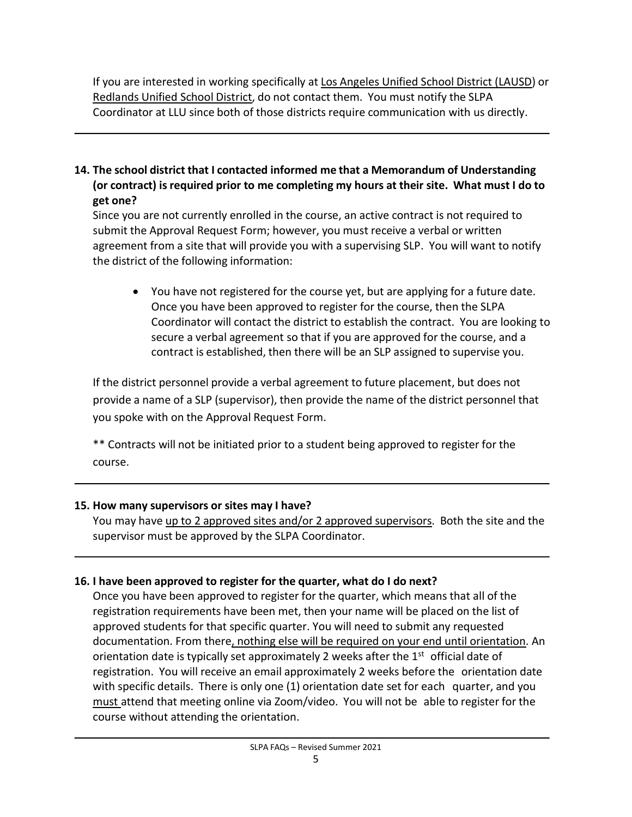If you are interested in working specifically at Los Angeles Unified School District (LAUSD) or Redlands Unified School District, do not contact them. You must notify the SLPA Coordinator at LLU since both of those districts require communication with us directly.

14. The school district that I contacted informed me that a Memorandum of Understanding (or contract) is required prior to me completing my hours at their site. What must I do to get one?

Since you are not currently enrolled in the course, an active contract is not required to submit the Approval Request Form; however, you must receive a verbal or written agreement from a site that will provide you with a supervising SLP. You will want to notify the district of the following information:

 You have not registered for the course yet, but are applying for a future date. Once you have been approved to register for the course, then the SLPA Coordinator will contact the district to establish the contract. You are looking to secure a verbal agreement so that if you are approved for the course, and a contract is established, then there will be an SLP assigned to supervise you.

If the district personnel provide a verbal agreement to future placement, but does not provide a name of a SLP (supervisor), then provide the name of the district personnel that you spoke with on the Approval Request Form.

\*\* Contracts will not be initiated prior to a student being approved to register for the course.

## 15. How many supervisors or sites may I have?

You may have up to 2 approved sites and/or 2 approved supervisors. Both the site and the supervisor must be approved by the SLPA Coordinator.

## 16. I have been approved to register for the quarter, what do I do next?

Once you have been approved to register for the quarter, which means that all of the registration requirements have been met, then your name will be placed on the list of approved students for that specific quarter. You will need to submit any requested documentation. From there, nothing else will be required on your end until orientation. An orientation date is typically set approximately 2 weeks after the  $1<sup>st</sup>$  official date of registration. You will receive an email approximately 2 weeks before the orientation date with specific details. There is only one (1) orientation date set for each quarter, and you must attend that meeting online via Zoom/video. You will not be able to register for the course without attending the orientation.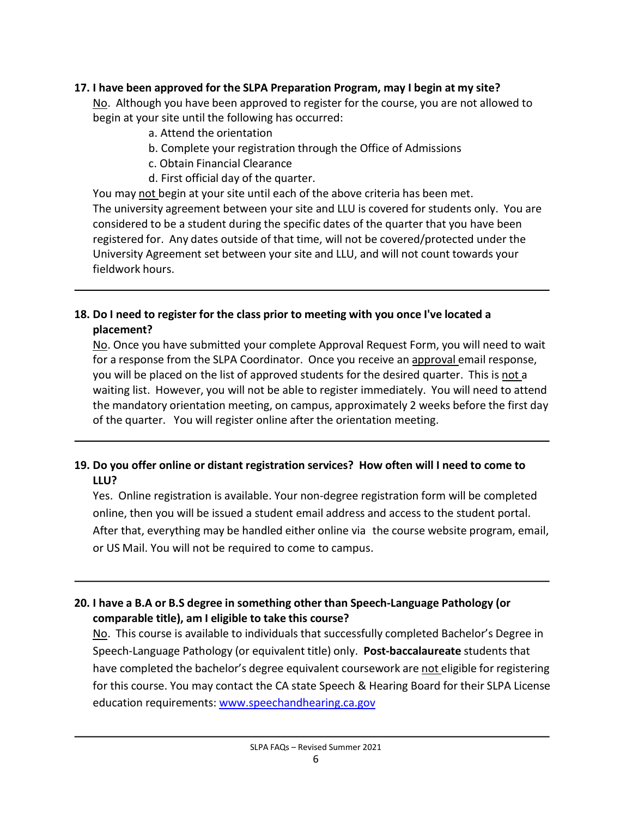## 17. I have been approved for the SLPA Preparation Program, may I begin at my site?

No. Although you have been approved to register for the course, you are not allowed to begin at your site until the following has occurred:

- a. Attend the orientation
- b. Complete your registration through the Office of Admissions
- c. Obtain Financial Clearance
- d. First official day of the quarter.

You may not begin at your site until each of the above criteria has been met. The university agreement between your site and LLU is covered for students only. You are considered to be a student during the specific dates of the quarter that you have been registered for. Any dates outside of that time, will not be covered/protected under the University Agreement set between your site and LLU, and will not count towards your fieldwork hours.

## 18. Do I need to register for the class prior to meeting with you once I've located a placement?

No. Once you have submitted your complete Approval Request Form, you will need to wait for a response from the SLPA Coordinator. Once you receive an approval email response, you will be placed on the list of approved students for the desired quarter. This is not a waiting list. However, you will not be able to register immediately. You will need to attend the mandatory orientation meeting, on campus, approximately 2 weeks before the first day of the quarter. You will register online after the orientation meeting.

## 19. Do you offer online or distant registration services? How often will I need to come to LLU?

Yes. Online registration is available. Your non-degree registration form will be completed online, then you will be issued a student email address and access to the student portal. After that, everything may be handled either online via the course website program, email, or US Mail. You will not be required to come to campus.

## 20. I have a B.A or B.S degree in something other than Speech-Language Pathology (or comparable title), am I eligible to take this course?

No. This course is available to individuals that successfully completed Bachelor's Degree in Speech-Language Pathology (or equivalent title) only. Post-baccalaureate students that have completed the bachelor's degree equivalent coursework are not eligible for registering for this course. You may contact the CA state Speech & Hearing Board for their SLPA License education requirements: www.speechandhearing.ca.gov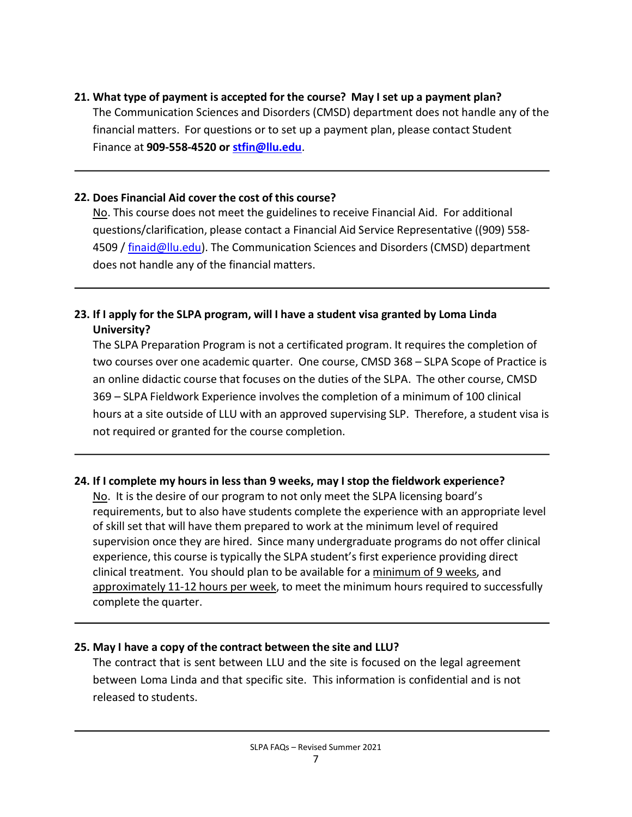21. What type of payment is accepted for the course? May I set up a payment plan? The Communication Sciences and Disorders (CMSD) department does not handle any of the financial matters. For questions or to set up a payment plan, please contact Student Finance at 909-558-4520 or stfin@llu.edu.

### 22. Does Financial Aid cover the cost of this course?

No. This course does not meet the guidelines to receive Financial Aid. For additional questions/clarification, please contact a Financial Aid Service Representative ((909) 558- 4509 / finaid@llu.edu). The Communication Sciences and Disorders (CMSD) department does not handle any of the financial matters.

## 23. If I apply for the SLPA program, will I have a student visa granted by Loma Linda University?

The SLPA Preparation Program is not a certificated program. It requires the completion of two courses over one academic quarter. One course, CMSD 368 – SLPA Scope of Practice is an online didactic course that focuses on the duties of the SLPA. The other course, CMSD 369 – SLPA Fieldwork Experience involves the completion of a minimum of 100 clinical hours at a site outside of LLU with an approved supervising SLP. Therefore, a student visa is not required or granted for the course completion.

## 24. If I complete my hours in less than 9 weeks, may I stop the fieldwork experience?

No. It is the desire of our program to not only meet the SLPA licensing board's requirements, but to also have students complete the experience with an appropriate level of skill set that will have them prepared to work at the minimum level of required supervision once they are hired. Since many undergraduate programs do not offer clinical experience, this course is typically the SLPA student's first experience providing direct clinical treatment. You should plan to be available for a minimum of 9 weeks, and approximately 11-12 hours per week, to meet the minimum hours required to successfully complete the quarter.

## 25. May I have a copy of the contract between the site and LLU?

The contract that is sent between LLU and the site is focused on the legal agreement between Loma Linda and that specific site. This information is confidential and is not released to students.